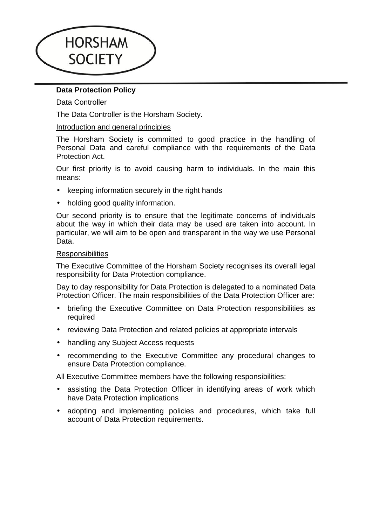

# **Data Protection Policy**

# Data Controller

The Data Controller is the Horsham Society.

# Introduction and general principles

The Horsham Society is committed to good practice in the handling of Personal Data and careful compliance with the requirements of the Data Protection Act.

Our first priority is to avoid causing harm to individuals. In the main this means:

- keeping information securely in the right hands
- holding good quality information.

Our second priority is to ensure that the legitimate concerns of individuals about the way in which their data may be used are taken into account. In particular, we will aim to be open and transparent in the way we use Personal Data.

### **Responsibilities**

The Executive Committee of the Horsham Society recognises its overall legal responsibility for Data Protection compliance.

Day to day responsibility for Data Protection is delegated to a nominated Data Protection Officer. The main responsibilities of the Data Protection Officer are:

- briefing the Executive Committee on Data Protection responsibilities as required
- reviewing Data Protection and related policies at appropriate intervals
- handling any Subject Access requests
- recommending to the Executive Committee any procedural changes to ensure Data Protection compliance.

All Executive Committee members have the following responsibilities:

- assisting the Data Protection Officer in identifying areas of work which have Data Protection implications
- adopting and implementing policies and procedures, which take full account of Data Protection requirements.